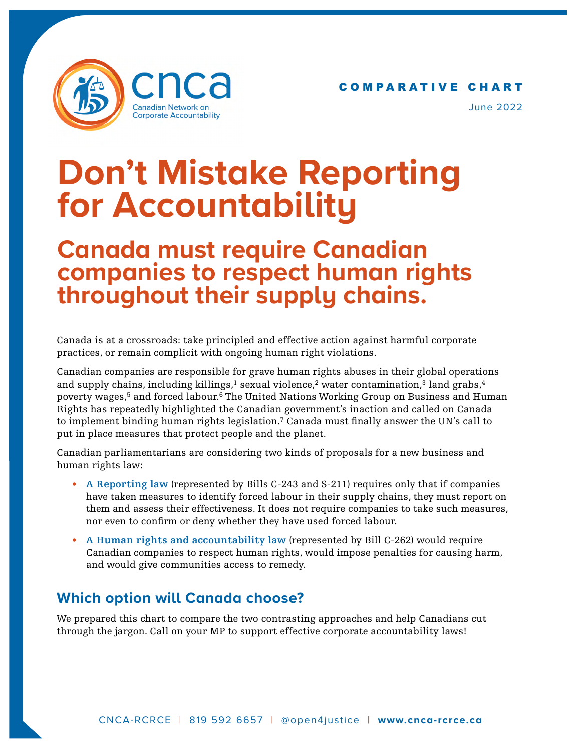

C O M P A R A T I V E C H A R T

June 2022

## **Don't Mistake Reporting for Accountability**

## **Canada must require Canadian companies to respect human rights throughout their supply chains.**

Canada is at a crossroads: take principled and effective action against harmful corporate practices, or remain complicit with ongoing human right violations.

Canadian companies are responsible for grave human rights abuses in their global operations and supply chains, including killings,<sup>1</sup> sexual violence,<sup>2</sup> water contamination,<sup>3</sup> land grabs,<sup>4</sup> poverty wages,<sup>5</sup> and forced labour.<sup>6</sup> The United Nations Working Group on Business and Human Rights has repeatedly highlighted the Canadian government's inaction and called on Canada to implement binding human rights legislation.7 Canada must finally answer the UN's call to put in place measures that protect people and the planet.

Canadian parliamentarians are considering two kinds of proposals for a new business and human rights law:

- **A Reporting law** (represented by Bills C-243 and S-211) requires only that if companies have taken measures to identify forced labour in their supply chains, they must report on them and assess their effectiveness. It does not require companies to take such measures, nor even to confirm or deny whether they have used forced labour.
- **A Human rights and accountability law** (represented by Bill C-262) would require Canadian companies to respect human rights, would impose penalties for causing harm, and would give communities access to remedy.

## **Which option will Canada choose?**

We prepared this chart to compare the two contrasting approaches and help Canadians cut through the jargon. Call on your MP to support effective corporate accountability laws!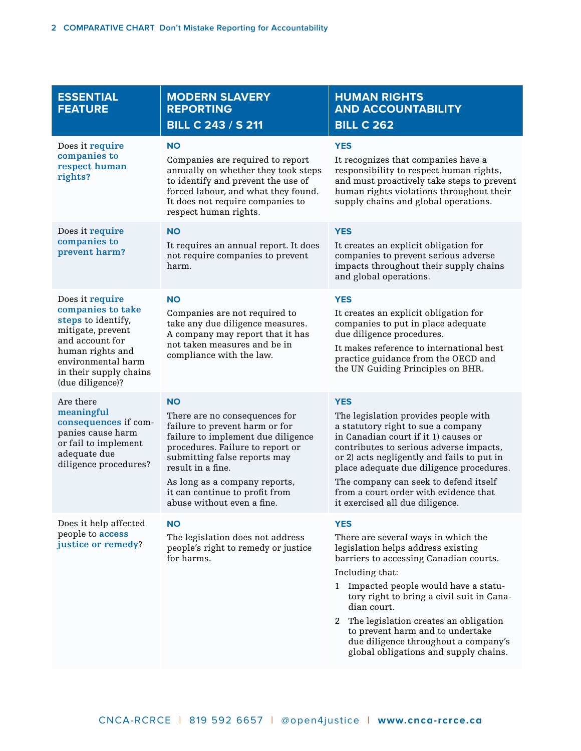| <b>ESSENTIAL</b><br><b>FEATURE</b>                                                                                                                                                         | <b>MODERN SLAVERY</b><br><b>REPORTING</b><br><b>BILL C 243 / S 211</b>                                                                                                                                                                                                                                       | <b>HUMAN RIGHTS</b><br><b>AND ACCOUNTABILITY</b><br><b>BILL C 262</b>                                                                                                                                                                                                                                                                                                                                                        |
|--------------------------------------------------------------------------------------------------------------------------------------------------------------------------------------------|--------------------------------------------------------------------------------------------------------------------------------------------------------------------------------------------------------------------------------------------------------------------------------------------------------------|------------------------------------------------------------------------------------------------------------------------------------------------------------------------------------------------------------------------------------------------------------------------------------------------------------------------------------------------------------------------------------------------------------------------------|
| Does it require<br>companies to<br>respect human<br>rights?                                                                                                                                | <b>NO</b><br>Companies are required to report<br>annually on whether they took steps<br>to identify and prevent the use of<br>forced labour, and what they found.<br>It does not require companies to<br>respect human rights.                                                                               | <b>YES</b><br>It recognizes that companies have a<br>responsibility to respect human rights,<br>and must proactively take steps to prevent<br>human rights violations throughout their<br>supply chains and global operations.                                                                                                                                                                                               |
| Does it require<br>companies to<br>prevent harm?                                                                                                                                           | <b>NO</b><br>It requires an annual report. It does<br>not require companies to prevent<br>harm.                                                                                                                                                                                                              | <b>YES</b><br>It creates an explicit obligation for<br>companies to prevent serious adverse<br>impacts throughout their supply chains<br>and global operations.                                                                                                                                                                                                                                                              |
| Does it require<br>companies to take<br>steps to identify,<br>mitigate, prevent<br>and account for<br>human rights and<br>environmental harm<br>in their supply chains<br>(due diligence)? | <b>NO</b><br>Companies are not required to<br>take any due diligence measures.<br>A company may report that it has<br>not taken measures and be in<br>compliance with the law.                                                                                                                               | <b>YES</b><br>It creates an explicit obligation for<br>companies to put in place adequate<br>due diligence procedures.<br>It makes reference to international best<br>practice guidance from the OECD and<br>the UN Guiding Principles on BHR.                                                                                                                                                                               |
| Are there<br>meaningful<br>consequences if com-<br>panies cause harm<br>or fail to implement<br>adequate due<br>diligence procedures?                                                      | <b>NO</b><br>There are no consequences for<br>failure to prevent harm or for<br>failure to implement due diligence<br>procedures. Failure to report or<br>submitting false reports may<br>result in a fine.<br>As long as a company reports,<br>it can continue to profit from<br>abuse without even a fine. | <b>YES</b><br>The legislation provides people with<br>a statutory right to sue a company<br>in Canadian court if it 1) causes or<br>contributes to serious adverse impacts,<br>or 2) acts negligently and fails to put in<br>place adequate due diligence procedures.<br>The company can seek to defend itself<br>from a court order with evidence that<br>it exercised all due diligence.                                   |
| Does it help affected<br>people to access<br>justice or remedy?                                                                                                                            | <b>NO</b><br>The legislation does not address<br>people's right to remedy or justice<br>for harms.                                                                                                                                                                                                           | <b>YES</b><br>There are several ways in which the<br>legislation helps address existing<br>barriers to accessing Canadian courts.<br>Including that:<br>1 Impacted people would have a statu-<br>tory right to bring a civil suit in Cana-<br>dian court.<br>The legislation creates an obligation<br>2<br>to prevent harm and to undertake<br>due diligence throughout a company's<br>global obligations and supply chains. |